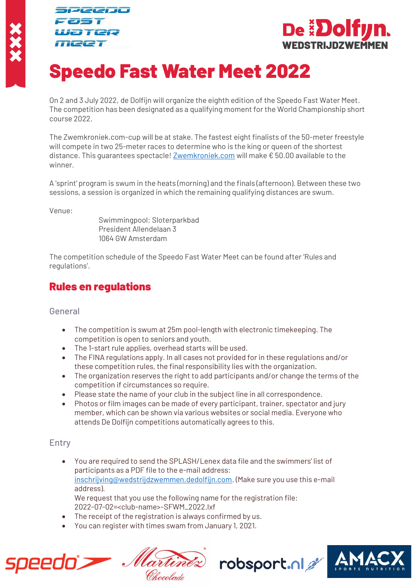Jeeno ater **TICCT** 



# Speedo Fast Water Meet 2022

On 2 and 3 July 2022, de Dolfijn will organize the eighth edition of the Speedo Fast Water Meet. The competition has been designated as a qualifying moment for the World Championship short course 2022.

The Zwemkroniek.com-cup will be at stake. The fastest eight finalists of the 50-meter freestyle will compete in two 25-meter races to determine who is the king or queen of the shortest distance. This guarantees spectacle! [Zwemkroniek.com](file://///UXENSVR/%7bFD34A37F%7d/EXT/BN/Zwemkroniek.com) will make € 50.00 available to the winner.

A 'sprint' program is swum in the heats (morning) and the finals (afternoon). Between these two sessions, a session is organized in which the remaining qualifying distances are swum.

Venue:

Swimmingpool: Sloterparkbad President Allendelaan 3 1064 GW Amsterdam

The competition schedule of the Speedo Fast Water Meet can be found after 'Rules and regulations'.

# Rules en regulations

## General

- The competition is swum at 25m pool-length with electronic timekeeping. The competition is open to seniors and youth.
- The 1-start rule applies, overhead starts will be used.
- The FINA regulations apply. In all cases not provided for in these regulations and/or these competition rules, the final responsibility lies with the organization.
- The organization reserves the right to add participants and/or change the terms of the competition if circumstances so require.
- Please state the name of your club in the subject line in all correspondence.
- Photos or film images can be made of every participant, trainer, spectator and jury member, which can be shown via various websites or social media. Everyone who attends De Dolfijn competitions automatically agrees to this.

# Entry

- You are required to send the SPLASH/Lenex data file and the swimmers' list of participants as a PDF file to the e-mail address: [inschrijving@wedstrijdzwemmen.dedolfijn.com.](mailto:inschrijving@wedstrijdzwemmen.dedolfijn.com) (Make sure you use this e-mail address). We request that you use the following name for the registration file: 2022-07-02=<club-name>-SFWM\_2022.lxf
- The receipt of the registration is always confirmed by us.
- You can register with times swam from January 1, 2021.



Chocolade



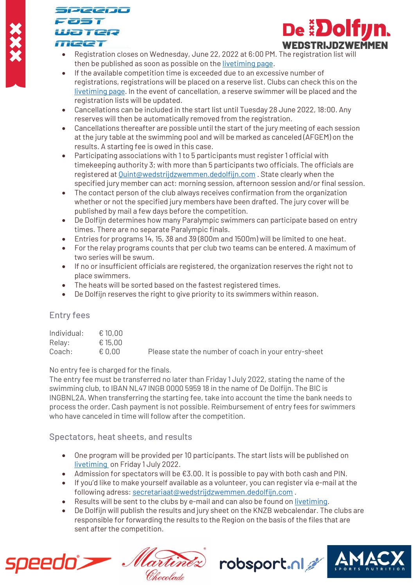# Jeeno  $\equiv$   $\top$ ayaa **TICCT**



- Registration closes on Wednesday, June 22, 2022 at 6:00 PM. The registration list will then be published as soon as possible on th[e livetiming](https://www.zwemkroniek.com/upload/livetiming/dolfijn/speedofastwatermeet22) page.
- If the available competition time is exceeded due to an excessive number of registrations, registrations will be placed on a reserve list. Clubs can check this on the [livetiming](https://www.zwemkroniek.com/upload/livetiming/dolfijn/speedofastwatermeet22) page. In the event of cancellation, a reserve swimmer will be placed and the registration lists will be updated.
- Cancellations can be included in the start list until Tuesday 28 June 2022, 18:00. Any reserves will then be automatically removed from the registration.
- Cancellations thereafter are possible until the start of the jury meeting of each session at the jury table at the swimming pool and will be marked as canceled (AFGEM) on the results. A starting fee is owed in this case.
- Participating associations with 1 to 5 participants must register 1 official with timekeeping authority 3; with more than 5 participants two officials. The officials are registered a[t Quint@wedstrijdzwemmen.dedolfijn.com](mailto:Quint@wedstrijdzwemmen.dedolfijn.com) . State clearly when the specified jury member can act: morning session, afternoon session and/or final session.
- The contact person of the club always receives confirmation from the organization whether or not the specified jury members have been drafted. The jury cover will be published by mail a few days before the competition.
- De Dolfijn determines how many Paralympic swimmers can participate based on entry times. There are no separate Paralympic finals.
- Entries for programs 14, 15, 38 and 39 (800m and 1500m) will be limited to one heat.
- For the relay programs counts that per club two teams can be entered. A maximum of two series will be swum.
- If no or insufficient officials are registered, the organization reserves the right not to place swimmers.
- The heats will be sorted based on the fastest registered times.
- De Dolfijn reserves the right to give priority to its swimmers within reason.

# Entry fees

| Individual: | € 10.00 |                                                      |
|-------------|---------|------------------------------------------------------|
| Relay:      | € 15,00 |                                                      |
| Coach:      | € 0.00  | Please state the number of coach in your entry-sheet |

No entry fee is charged for the finals.

The entry fee must be transferred no later than Friday 1 July 2022, stating the name of the swimming club, to IBAN NL47 INGB 0000 5959 18 in the name of De Dolfijn. The BIC is INGBNL2A. When transferring the starting fee, take into account the time the bank needs to process the order. Cash payment is not possible. Reimbursement of entry fees for swimmers who have canceled in time will follow after the competition.

# Spectators, heat sheets, and results

- One program will be provided per 10 participants. The start lists will be published on [livetiming](https://www.zwemkroniek.com/upload/livetiming/dolfijn/speedofastwatermeet22) on Friday 1 July 2022.
- Admission for spectators will be €3.00. It is possible to pay with both cash and PIN.
- If you'd like to make yourself available as a volunteer, you can register via e-mail at the following adress[: secretariaat@wedstrijdzwemmen.dedolfijn.com](mailto:secretariaat@wedstrijdzwemmen.dedolfijn.com) .
- Results will be sent to the clubs by e-mail and can also be found o[n livetiming.](https://www.zwemkroniek.com/upload/livetiming/dolfijn/speedofastwatermeet22)
- De Dolfijn will publish the results and jury sheet on the KNZB webcalendar. The clubs are responsible for forwarding the results to the Region on the basis of the files that are sent after the competition.



ine Chocolade

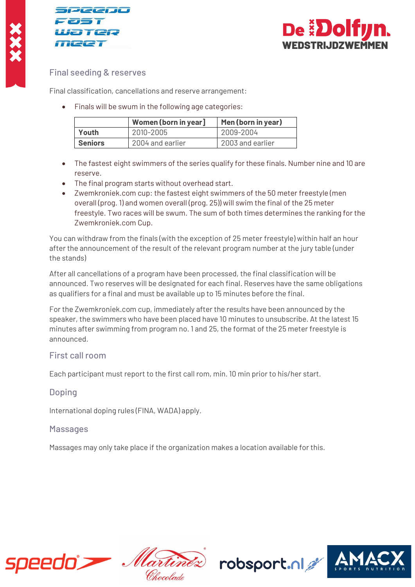





## Final seeding & reserves

Final classification, cancellations and reserve arrangement:

• Finals will be swum in the following age categories:

|                | Women (born in year] | Men (born in year) |
|----------------|----------------------|--------------------|
| Youth          | 2010-2005            | 2009-2004          |
| <b>Seniors</b> | 2004 and earlier     | 2003 and earlier   |

- The fastest eight swimmers of the series qualify for these finals. Number nine and 10 are reserve.
- The final program starts without overhead start.
- Zwemkroniek.com cup: the fastest eight swimmers of the 50 meter freestyle (men overall (prog. 1) and women overall (prog. 25)) will swim the final of the 25 meter freestyle. Two races will be swum. The sum of both times determines the ranking for the Zwemkroniek.com Cup.

You can withdraw from the finals (with the exception of 25 meter freestyle) within half an hour after the announcement of the result of the relevant program number at the jury table (under the stands)

After all cancellations of a program have been processed, the final classification will be announced. Two reserves will be designated for each final. Reserves have the same obligations as qualifiers for a final and must be available up to 15 minutes before the final.

For the Zwemkroniek.com cup, immediately after the results have been announced by the speaker, the swimmers who have been placed have 10 minutes to unsubscribe. At the latest 15 minutes after swimming from program no. 1 and 25, the format of the 25 meter freestyle is announced.

## First call room

Each participant must report to the first call rom, min. 10 min prior to his/her start.

## Doping

International doping rules (FINA, WADA) apply.

## **Massages**

Massages may only take place if the organization makes a location available for this.



lartin Chocolade

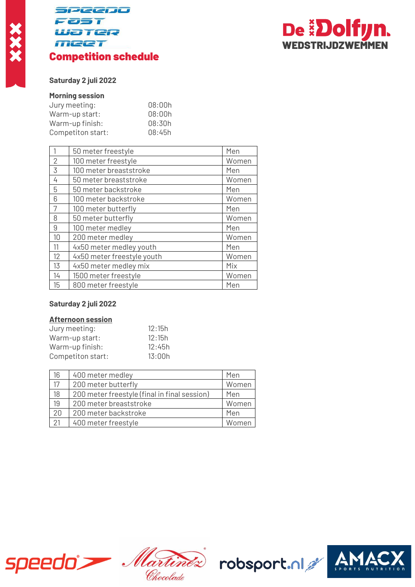# **SPEENO** 25 T Water **MEET** Competition schedule



## **Saturday 2 juli 2022**

#### **Morning session**

| 08:00h |
|--------|
| 08:00h |
| 08:30h |
| 08:45h |
|        |

|                | 50 meter freestyle         | Men   |
|----------------|----------------------------|-------|
| $\overline{2}$ | 100 meter freestyle        | Women |
| 3              | 100 meter breaststroke     | Men   |
| 4              | 50 meter breaststroke      | Women |
| 5              | 50 meter backstroke        | Men   |
| 6              | 100 meter backstroke       | Women |
| 7              | 100 meter butterfly        | Men   |
| 8              | 50 meter butterfly         | Women |
| 9              | 100 meter medley           | Men   |
| 10             | 200 meter medley           | Women |
| 11             | 4x50 meter medley youth    | Men   |
| 12             | 4x50 meter freestyle youth | Women |
| 13             | 4x50 meter medley mix      | Mix   |
| 14             | 1500 meter freestyle       | Women |
| 15             | 800 meter freestyle        | Men   |

#### **Saturday 2 juli 2022**

#### **Afternoon session**

| 12:15h |
|--------|
| 12:15h |
| 12:45h |
| 13:00h |
|        |

| 16              | 400 meter medley                             | Men   |
|-----------------|----------------------------------------------|-------|
| $\overline{17}$ | 200 meter butterfly                          | Women |
| 18              | 200 meter freestyle (final in final session) | Men   |
| 19              | 200 meter breaststroke                       | Women |
| $\overline{20}$ | 200 meter backstroke                         | Men   |
| 21              | 400 meter freestyle                          | Women |



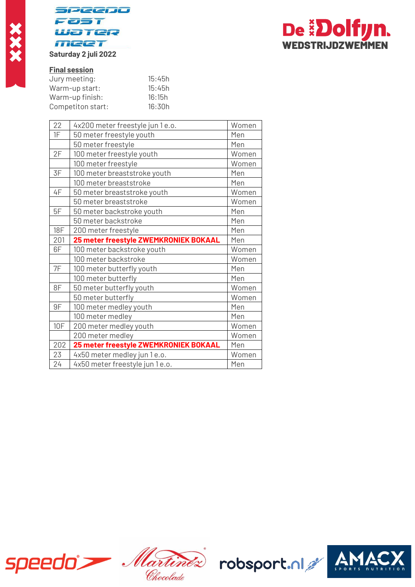



# **Final session**

| 15:45h |
|--------|
| 15:45h |
| 16:15h |
| 16:30h |
|        |

| 22         | 4x200 meter freestyle jun 1 e.o.      | Women |
|------------|---------------------------------------|-------|
| 1F         | 50 meter freestyle youth              | Men   |
|            | 50 meter freestyle                    | Men   |
| 2F         | 100 meter freestyle youth             | Women |
|            | 100 meter freestyle                   | Women |
| 3F         | 100 meter breaststroke youth          | Men   |
|            | 100 meter breaststroke                | Men   |
| 4F         | 50 meter breaststroke youth           | Women |
|            | 50 meter breaststroke                 | Women |
| 5F         | 50 meter backstroke youth             | Men   |
|            | 50 meter backstroke                   | Men   |
| <b>18F</b> | 200 meter freestyle                   | Men   |
| 201        | 25 meter freestyle ZWEMKRONIEK BOKAAL | Men   |
|            |                                       |       |
| 6F         | 100 meter backstroke youth            | Women |
|            | 100 meter backstroke                  | Women |
| 7F         | 100 meter butterfly youth             | Men   |
|            | 100 meter butterfly                   | Men   |
| 8F         | 50 meter butterfly youth              | Women |
|            | 50 meter butterfly                    | Women |
| 9F         | 100 meter medley youth                | Men   |
|            | 100 meter medley                      | Men   |
| <b>10F</b> | 200 meter medley youth                | Women |
|            | 200 meter medley                      | Women |
| 202        | 25 meter freestyle ZWEMKRONIEK BOKAAL | Men   |
| 23         | 4x50 meter medley jun 1 e.o.          | Women |



Chocolade

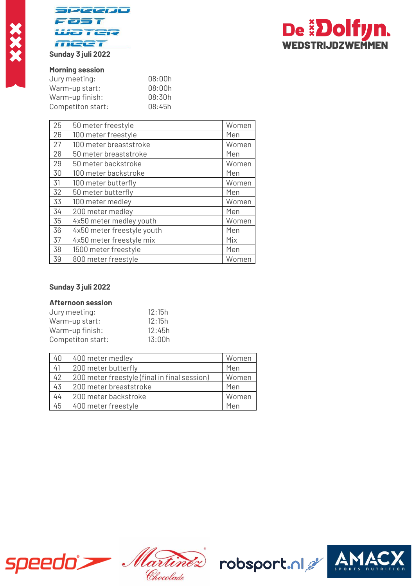



#### **Sunday 3 juli 2022**

#### **Morning session**

| Jury meeting:     | 08:00h |
|-------------------|--------|
| Warm-up start:    | 08:00h |
| Warm-up finish:   | 08:30h |
| Competiton start: | 08:45h |
|                   |        |

| 25 | 50 meter freestyle         | Women |
|----|----------------------------|-------|
| 26 | 100 meter freestyle        | Men   |
| 27 | 100 meter breaststroke     | Women |
| 28 | 50 meter breaststroke      | Men   |
| 29 | 50 meter backstroke        | Women |
| 30 | 100 meter backstroke       | Men   |
| 31 | 100 meter butterfly        | Women |
| 32 | 50 meter butterfly         | Men   |
| 33 | 100 meter medley           | Women |
| 34 | 200 meter medley           | Men   |
| 35 | 4x50 meter medley youth    | Women |
| 36 | 4x50 meter freestyle youth | Men   |
| 37 | 4x50 meter freestyle mix   | Mix   |
| 38 | 1500 meter freestyle       | Men   |
| 39 | 800 meter freestyle        | Women |

#### **Sunday 3 juli 2022**

#### **Afternoon session**

| Jury meeting:     | 12:15h |
|-------------------|--------|
| Warm-up start:    | 12:15h |
| Warm-up finish:   | 12:45h |
| Competiton start: | 13:00h |

| 40 | 400 meter medley                             | Women |
|----|----------------------------------------------|-------|
| 41 | 200 meter butterfly                          | Men   |
| 42 | 200 meter freestyle (final in final session) | Women |
| 43 | 200 meter breaststroke                       | Men   |
| 44 | 200 meter backstroke                         | Women |
| 45 | 400 meter freestyle                          | Men   |



- Martinez Chocolade